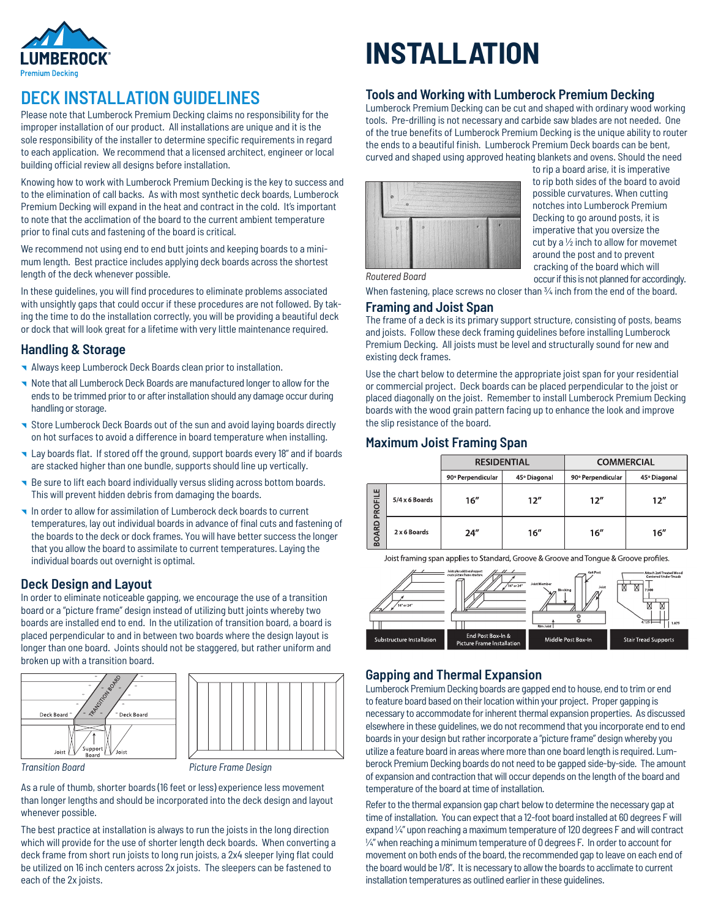

# **DECK INSTALLATION GUIDELINES**

Please note that Lumberock Premium Decking claims no responsibility for the improper installation of our product. All installations are unique and it is the sole responsibility of the installer to determine specific requirements in regard to each application. We recommend that a licensed architect, engineer or local building official review all designs before installation.

Knowing how to work with Lumberock Premium Decking is the key to success and to the elimination of call backs. As with most synthetic deck boards, Lumberock Premium Decking will expand in the heat and contract in the cold. It's important to note that the acclimation of the board to the current ambient temperature prior to final cuts and fastening of the board is critical.

We recommend not using end to end butt joints and keeping boards to a minimum length. Best practice includes applying deck boards across the shortest length of the deck whenever possible.

In these guidelines, you will find procedures to eliminate problems associated with unsightly gaps that could occur if these procedures are not followed. By taking the time to do the installation correctly, you will be providing a beautiful deck or dock that will look great for a lifetime with very little maintenance required.

### **Handling & Storage**

- Always keep Lumberock Deck Boards clean prior to installation.
- Note that all Lumberock Deck Boards are manufactured longer to allow for the ends to be trimmed prior to or after installation should any damage occur during handling or storage.
- Store Lumberock Deck Boards out of the sun and avoid laying boards directly on hot surfaces to avoid a difference in board temperature when installing.
- Lay boards flat. If stored off the ground, support boards every 18" and if boards are stacked higher than one bundle, supports should line up vertically.
- Be sure to lift each board individually versus sliding across bottom boards. This will prevent hidden debris from damaging the boards.
- In order to allow for assimilation of Lumberock deck boards to current temperatures, lay out individual boards in advance of final cuts and fastening of the boards to the deck or dock frames. You will have better success the longer that you allow the board to assimilate to current temperatures. Laying the individual boards out overnight is optimal.

### **Deck Design and Layout**

In order to eliminate noticeable gapping, we encourage the use of a transition board or a "picture frame" design instead of utilizing butt joints whereby two boards are installed end to end. In the utilization of transition board, a board is placed perpendicular to and in between two boards where the design layout is longer than one board. Joints should not be staggered, but rather uniform and broken up with a transition board.





*Transition Board Picture Frame Design*

As a rule of thumb, shorter boards (16 feet or less) experience less movement than longer lengths and should be incorporated into the deck design and layout whenever possible.

The best practice at installation is always to run the joists in the long direction which will provide for the use of shorter length deck boards. When converting a deck frame from short run joists to long run joists, a 2x4 sleeper lying flat could be utilized on 16 inch centers across 2x joists. The sleepers can be fastened to each of the 2x joists.

# **INSTALLATION**

### **Tools and Working with Lumberock Premium Decking**

Lumberock Premium Decking can be cut and shaped with ordinary wood working tools. Pre-drilling is not necessary and carbide saw blades are not needed. One of the true benefits of Lumberock Premium Decking is the unique ability to router the ends to a beautiful finish. Lumberock Premium Deck boards can be bent, curved and shaped using approved heating blankets and ovens. Should the need



to rip a board arise, it is imperative to rip both sides of the board to avoid possible curvatures. When cutting notches into Lumberock Premium Decking to go around posts, it is imperative that you oversize the cut by a ½ inch to allow for movemet around the post and to prevent cracking of the board which will occur if this is not planned for accordingly.

*Routered Board*

When fastening, place screws no closer than 34 inch from the end of the board.

### **Framing and Joist Span**

The frame of a deck is its primary support structure, consisting of posts, beams and joists. Follow these deck framing guidelines before installing Lumberock Premium Decking. All joists must be level and structurally sound for new and existing deck frames.

Use the chart below to determine the appropriate joist span for your residential or commercial project. Deck boards can be placed perpendicular to the joist or placed diagonally on the joist. Remember to install Lumberock Premium Decking boards with the wood grain pattern facing up to enhance the look and improve the slip resistance of the board.

### **Maximum Joist Framing Span**

|                         |                | <b>RESIDENTIAL</b> |              | <b>COMMERCIAL</b> |              |  |
|-------------------------|----------------|--------------------|--------------|-------------------|--------------|--|
|                         |                | 90° Perpendicular  | 45° Diagonal | 90° Perpendicular | 45° Diagonal |  |
| PROFILE<br><b>BOARD</b> | 5/4 x 6 Boards | 16''               | 12''         | 12''              | 12''         |  |
|                         | 2 x 6 Boards   | 24''               | 16''         | 16''              | 16''         |  |

Joist framing span applies to Standard, Groove & Groove and Tonque & Groove profiles.



### **Gapping and Thermal Expansion**

Lumberock Premium Decking boards are gapped end to house, end to trim or end to feature board based on their location within your project. Proper gapping is necessary to accommodate for inherent thermal expansion properties. As discussed elsewhere in these guidelines, we do not recommend that you incorporate end to end boards in your design but rather incorporate a "picture frame" design whereby you utilize a feature board in areas where more than one board length is required. Lumberock Premium Decking boards do not need to be gapped side-by-side. The amount of expansion and contraction that will occur depends on the length of the board and temperature of the board at time of installation.

Refer to the thermal expansion gap chart below to determine the necessary gap at time of installation. You can expect that a 12-foot board installed at 60 degrees F will expand ¼" upon reaching a maximum temperature of 120 degrees F and will contract  $\frac{1}{4}$ " when reaching a minimum temperature of 0 degrees F. In order to account for movement on both ends of the board, the recommended gap to leave on each end of the board would be 1/8". It is necessary to allow the boards to acclimate to current installation temperatures as outlined earlier in these guidelines.